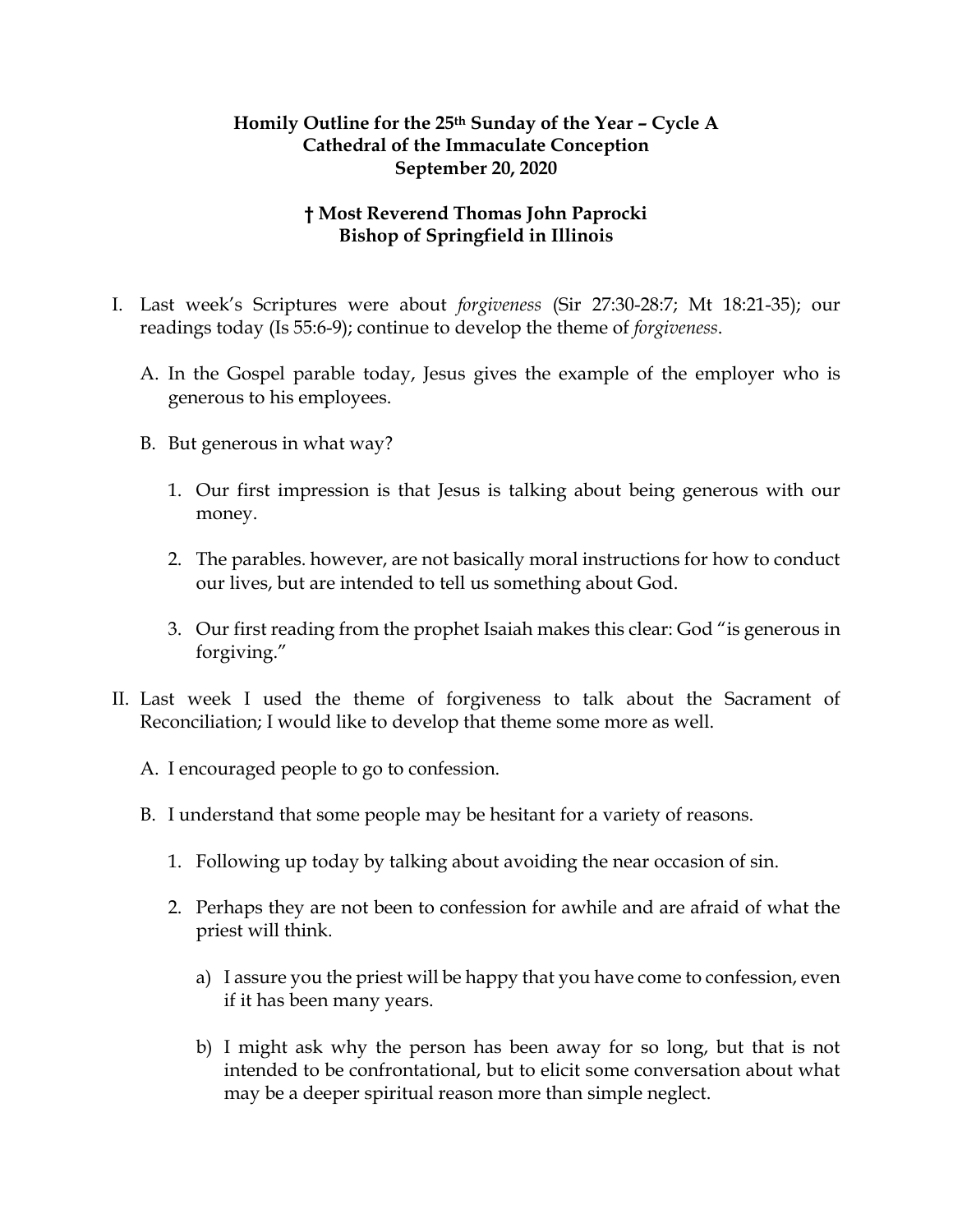## **Homily Outline for the 25th Sunday of the Year – Cycle A Cathedral of the Immaculate Conception September 20, 2020**

## **† Most Reverend Thomas John Paprocki Bishop of Springfield in Illinois**

- I. Last week's Scriptures were about *forgiveness* (Sir 27:30-28:7; Mt 18:21-35); our readings today (Is 55:6-9); continue to develop the theme of *forgiveness*.
	- A. In the Gospel parable today, Jesus gives the example of the employer who is generous to his employees.
	- B. But generous in what way?
		- 1. Our first impression is that Jesus is talking about being generous with our money.
		- 2. The parables. however, are not basically moral instructions for how to conduct our lives, but are intended to tell us something about God.
		- 3. Our first reading from the prophet Isaiah makes this clear: God "is generous in forgiving."
- II. Last week I used the theme of forgiveness to talk about the Sacrament of Reconciliation; I would like to develop that theme some more as well.
	- A. I encouraged people to go to confession.
	- B. I understand that some people may be hesitant for a variety of reasons.
		- 1. Following up today by talking about avoiding the near occasion of sin.
		- 2. Perhaps they are not been to confession for awhile and are afraid of what the priest will think.
			- a) I assure you the priest will be happy that you have come to confession, even if it has been many years.
			- b) I might ask why the person has been away for so long, but that is not intended to be confrontational, but to elicit some conversation about what may be a deeper spiritual reason more than simple neglect.